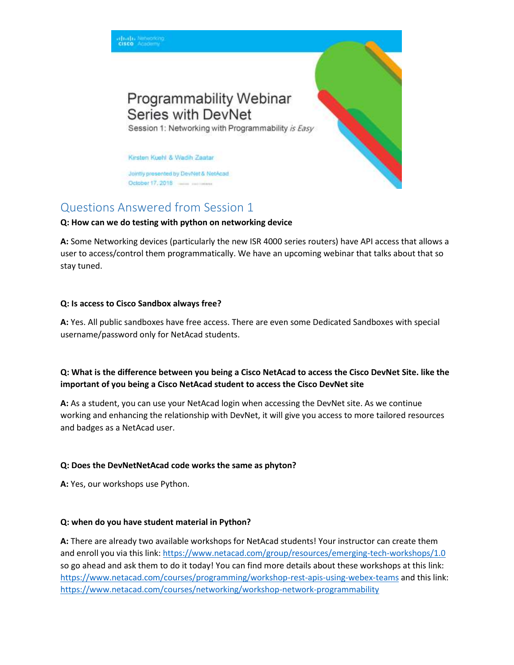

# Questions Answered from Session 1

#### **Q: How can we do testing with python on networking device**

**A:** Some Networking devices (particularly the new ISR 4000 series routers) have API access that allows a user to access/control them programmatically. We have an upcoming webinar that talks about that so stay tuned.

#### **Q: Is access to Cisco Sandbox always free?**

**A:** Yes. All public sandboxes have free access. There are even some Dedicated Sandboxes with special username/password only for NetAcad students.

## **Q: What is the difference between you being a Cisco NetAcad to access the Cisco DevNet Site. like the important of you being a Cisco NetAcad student to access the Cisco DevNet site**

**A:** As a student, you can use your NetAcad login when accessing the DevNet site. As we continue working and enhancing the relationship with DevNet, it will give you access to more tailored resources and badges as a NetAcad user.

#### **Q: Does the DevNetNetAcad code works the same as phyton?**

**A:** Yes, our workshops use Python.

## **Q: when do you have student material in Python?**

**A:** There are already two available workshops for NetAcad students! Your instructor can create them and enroll you via this link:<https://www.netacad.com/group/resources/emerging-tech-workshops/1.0> so go ahead and ask them to do it today! You can find more details about these workshops at this link: <https://www.netacad.com/courses/programming/workshop-rest-apis-using-webex-teams> and this link: <https://www.netacad.com/courses/networking/workshop-network-programmability>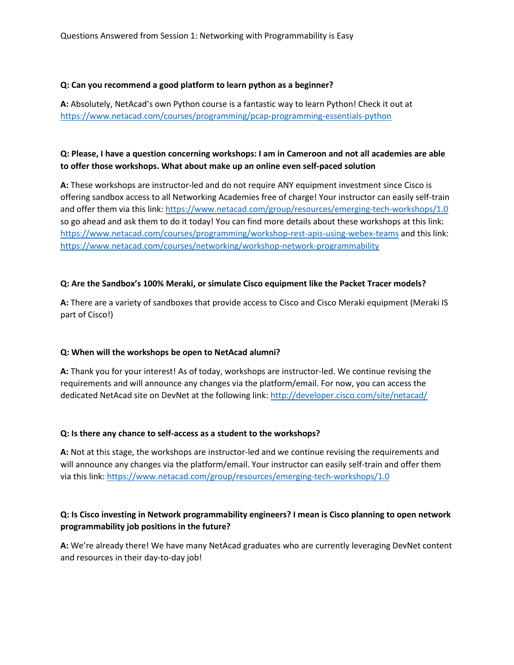#### **Q: Can you recommend a good platform to learn python as a beginner?**

**A:** Absolutely, NetAcad's own Python course is a fantastic way to learn Python! Check it out at <https://www.netacad.com/courses/programming/pcap-programming-essentials-python>

## **Q: Please, I have a question concerning workshops: I am in Cameroon and not all academies are able to offer those workshops. What about make up an online even self-paced solution**

**A:** These workshops are instructor-led and do not require ANY equipment investment since Cisco is offering sandbox access to all Networking Academies free of charge! Your instructor can easily self-train and offer them via this link:<https://www.netacad.com/group/resources/emerging-tech-workshops/1.0> so go ahead and ask them to do it today! You can find more details about these workshops at this link: <https://www.netacad.com/courses/programming/workshop-rest-apis-using-webex-teams> and this link: <https://www.netacad.com/courses/networking/workshop-network-programmability>

#### **Q: Are the Sandbox's 100% Meraki, or simulate Cisco equipment like the Packet Tracer models?**

**A:** There are a variety of sandboxes that provide access to Cisco and Cisco Meraki equipment (Meraki IS part of Cisco!)

## **Q: When will the workshops be open to NetAcad alumni?**

**A:** Thank you for your interest! As of today, workshops are instructor-led. We continue revising the requirements and will announce any changes via the platform/email. For now, you can access the dedicated NetAcad site on DevNet at the following link:<http://developer.cisco.com/site/netacad/>

#### **Q: Is there any chance to self-access as a student to the workshops?**

**A:** Not at this stage, the workshops are instructor-led and we continue revising the requirements and will announce any changes via the platform/email. Your instructor can easily self-train and offer them via this link:<https://www.netacad.com/group/resources/emerging-tech-workshops/1.0>

## **Q: Is Cisco investing in Network programmability engineers? I mean is Cisco planning to open network programmability job positions in the future?**

**A:** We're already there! We have many NetAcad graduates who are currently leveraging DevNet content and resources in their day-to-day job!